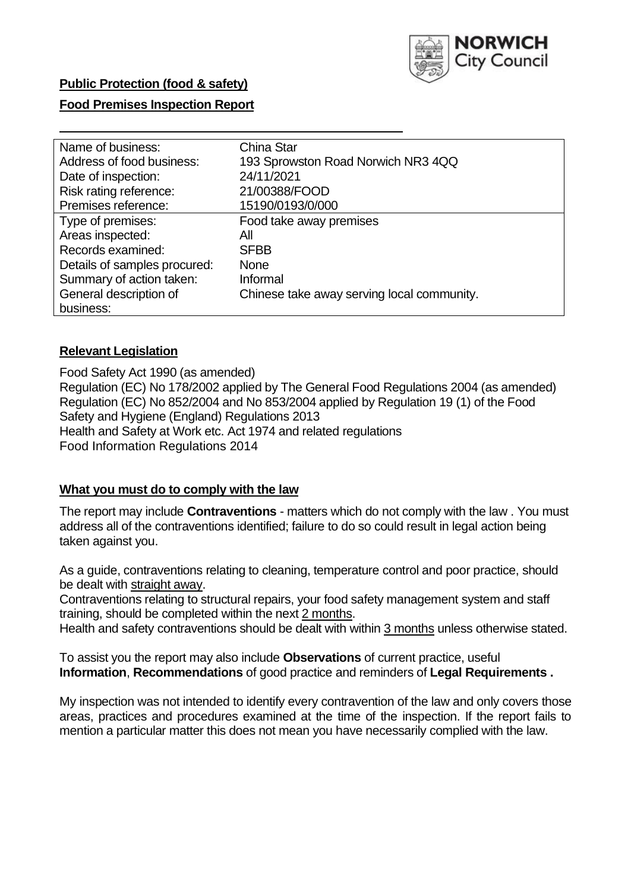

### **Public Protection (food & safety)**

#### **Food Premises Inspection Report**

| Name of business:            | China Star                                 |
|------------------------------|--------------------------------------------|
| Address of food business:    | 193 Sprowston Road Norwich NR3 4QQ         |
| Date of inspection:          | 24/11/2021                                 |
| Risk rating reference:       | 21/00388/FOOD                              |
| Premises reference:          | 15190/0193/0/000                           |
| Type of premises:            | Food take away premises                    |
| Areas inspected:             | All                                        |
| Records examined:            | <b>SFBB</b>                                |
| Details of samples procured: | <b>None</b>                                |
| Summary of action taken:     | Informal                                   |
| General description of       | Chinese take away serving local community. |
| business:                    |                                            |

#### **Relevant Legislation**

 Food Safety Act 1990 (as amended) Regulation (EC) No 178/2002 applied by The General Food Regulations 2004 (as amended) Regulation (EC) No 852/2004 and No 853/2004 applied by Regulation 19 (1) of the Food Safety and Hygiene (England) Regulations 2013 Health and Safety at Work etc. Act 1974 and related regulations Food Information Regulations 2014

#### **What you must do to comply with the law**

 The report may include **Contraventions** - matters which do not comply with the law . You must address all of the contraventions identified; failure to do so could result in legal action being taken against you.

 As a guide, contraventions relating to cleaning, temperature control and poor practice, should be dealt with straight away.

 Contraventions relating to structural repairs, your food safety management system and staff training, should be completed within the next 2 months.

Health and safety contraventions should be dealt with within 3 months unless otherwise stated.

 To assist you the report may also include **Observations** of current practice, useful **Information**, **Recommendations** of good practice and reminders of **Legal Requirements .** 

 My inspection was not intended to identify every contravention of the law and only covers those areas, practices and procedures examined at the time of the inspection. If the report fails to mention a particular matter this does not mean you have necessarily complied with the law.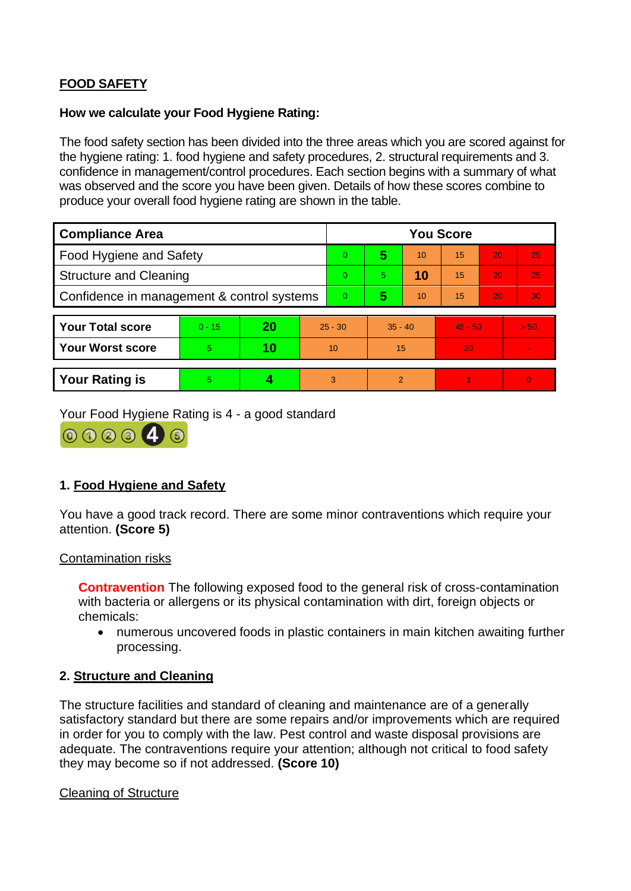# **FOOD SAFETY**

#### **How we calculate your Food Hygiene Rating:**

 The food safety section has been divided into the three areas which you are scored against for the hygiene rating: 1. food hygiene and safety procedures, 2. structural requirements and 3. confidence in management/control procedures. Each section begins with a summary of what was observed and the score you have been given. Details of how these scores combine to produce your overall food hygiene rating are shown in the table.

| <b>Compliance Area</b>                     |          |    |           | <b>You Score</b> |                |    |           |    |                |  |  |
|--------------------------------------------|----------|----|-----------|------------------|----------------|----|-----------|----|----------------|--|--|
| <b>Food Hygiene and Safety</b>             |          |    |           | $\overline{0}$   | 5              | 10 | 15        | 20 | 25             |  |  |
| <b>Structure and Cleaning</b>              |          |    |           | $\Omega$         | 5.             | 10 | 15        | 20 | 25             |  |  |
| Confidence in management & control systems |          |    |           | $\Omega$         | 5              | 10 | 15        | 20 | 30             |  |  |
|                                            |          |    |           |                  |                |    |           |    |                |  |  |
| <b>Your Total score</b>                    | $0 - 15$ | 20 | $25 - 30$ |                  | $35 - 40$      |    | $45 - 50$ |    | > 50           |  |  |
| Your Worst score                           | 5.       | 10 | 10        |                  | 15             |    | 20        |    | $\blacksquare$ |  |  |
|                                            |          |    |           |                  |                |    |           |    |                |  |  |
| <b>Your Rating is</b>                      | 5        |    |           | 3                | $\overline{2}$ |    |           |    | $\overline{0}$ |  |  |

Your Food Hygiene Rating is 4 - a good standard



## **1. Food Hygiene and Safety**

You have a good track record. There are some minor contraventions which require your attention. **(Score 5)** 

#### Contamination risks

 with bacteria or allergens or its physical contamination with dirt, foreign objects or **Contravention** The following exposed food to the general risk of cross-contamination chemicals:

 • numerous uncovered foods in plastic containers in main kitchen awaiting further processing.

#### **2. Structure and Cleaning**

 satisfactory standard but there are some repairs and/or improvements which are required The structure facilities and standard of cleaning and maintenance are of a generally in order for you to comply with the law. Pest control and waste disposal provisions are adequate. The contraventions require your attention; although not critical to food safety they may become so if not addressed. **(Score 10)** 

Cleaning of Structure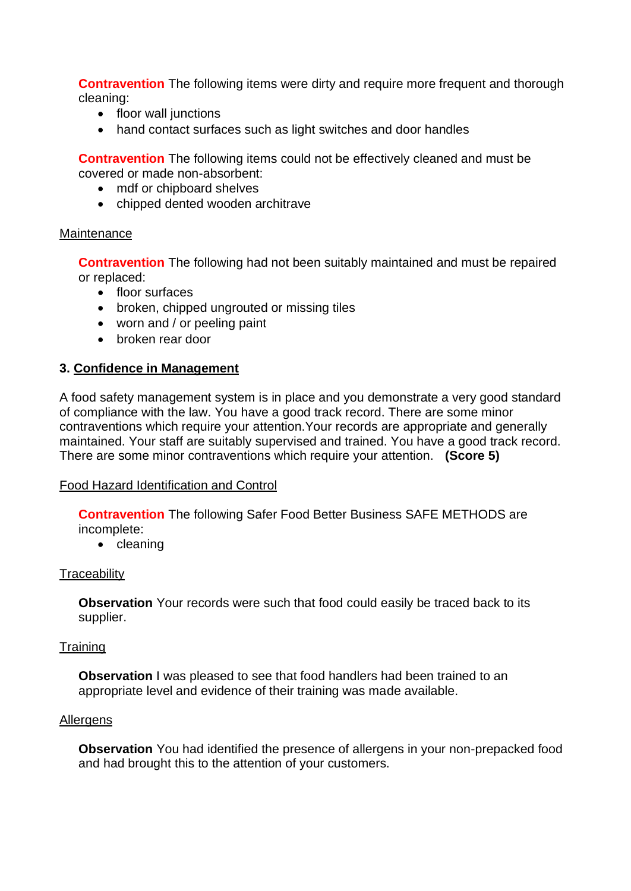**Contravention** The following items were dirty and require more frequent and thorough cleaning:

- floor wall junctions
- hand contact surfaces such as light switches and door handles

**Contravention** The following items could not be effectively cleaned and must be covered or made non-absorbent:

- mdf or chipboard shelves
- chipped dented wooden architrave

#### **Maintenance**

**Contravention** The following had not been suitably maintained and must be repaired or replaced:

- floor surfaces
- broken, chipped ungrouted or missing tiles
- worn and / or peeling paint
- broken rear door

#### **3. Confidence in Management**

 of compliance with the law. You have a good track record. There are some minor maintained. Your staff are suitably supervised and trained. You have a good track record. A food safety management system is in place and you demonstrate a very good standard contraventions which require your attention.Your records are appropriate and generally There are some minor contraventions which require your attention. **(Score 5)** 

#### Food Hazard Identification and Control

**Contravention** The following Safer Food Better Business SAFE METHODS are incomplete:

• cleaning

#### **Traceability**

**Observation** Your records were such that food could easily be traced back to its supplier.

#### **Training**

 **Observation** I was pleased to see that food handlers had been trained to an appropriate level and evidence of their training was made available.

#### **Allergens**

**Observation** You had identified the presence of allergens in your non-prepacked food and had brought this to the attention of your customers.